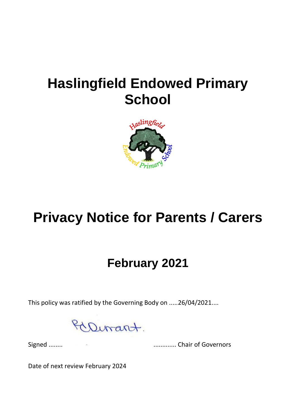## **Haslingfield Endowed Primary School**



# **Privacy Notice for Parents / Carers**

### **February 2021**

This policy was ratified by the Governing Body on .....26/04/2021....

Dirant.

Signed ........ ............. Chair of Governors

Date of next review February 2024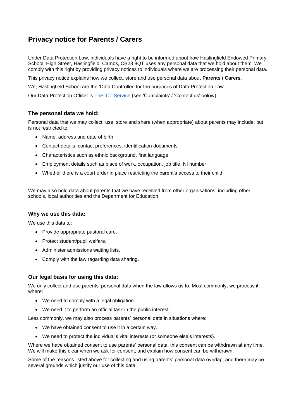### **Privacy notice for Parents / Carers**

Under Data Protection Law, individuals have a right to be informed about how Haslingfield Endowed Primary School, High Street, Haslingfield, Cambs, CB23 8QT uses any personal data that we hold about them. We comply with this right by providing privacy notices to individuals where we are processing their personal data.

This privacy notice explains how we collect, store and use personal data about **Parents / Carers**.

We, Haslingfield School are the 'Data Controller' for the purposes of Data Protection Law.

Our Data Protection Officer is [The ICT Service](https://theictservice.org.uk/service/gdpr-dpo-service/) (see 'Complaints' / 'Contact us' below).

#### **The personal data we hold:**

Personal data that we may collect, use, store and share (when appropriate) about parents may include, but is not restricted to:

- Name, address and date of birth,
- Contact details, contact preferences, identification documents
- Characteristics such as ethnic background, first language
- Employment details such as place of work, occupation, job title, NI number
- Whether there is a court order in place restricting the parent's access to their child

We may also hold data about parents that we have received from other organisations, including other schools, local authorities and the Department for Education.

#### **Why we use this data:**

We use this data to:

- Provide appropriate pastoral care.
- Protect student/pupil welfare.
- Administer admissions waiting lists.
- Comply with the law regarding data sharing.

#### **Our legal basis for using this data:**

We only collect and use parents' personal data when the law allows us to. Most commonly, we process it where:

- We need to comply with a legal obligation.
- We need it to perform an official task in the public interest.

Less commonly, we may also process parents' personal data in situations where:

- We have obtained consent to use it in a certain way.
- We need to protect the individual's vital interests (or someone else's interests).

Where we have obtained consent to use parents' personal data, this consent can be withdrawn at any time. We will make this clear when we ask for consent, and explain how consent can be withdrawn.

Some of the reasons listed above for collecting and using parents' personal data overlap, and there may be several grounds which justify our use of this data.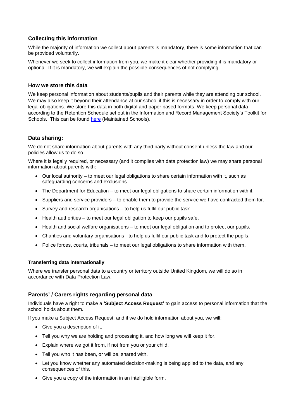#### **Collecting this information**

While the majority of information we collect about parents is mandatory, there is some information that can be provided voluntarily.

Whenever we seek to collect information from you, we make it clear whether providing it is mandatory or optional. If it is mandatory, we will explain the possible consequences of not complying.

#### **How we store this data**

We keep personal information about students/pupils and their parents while they are attending our school. We may also keep it beyond their attendance at our school if this is necessary in order to comply with our legal obligations. We store this data in both digital and paper based formats. We keep personal data according to the Retention Schedule set out in the Information and Record Management Society's Toolkit for Schools. This can be found [here](http://irms.org.uk/?page=schoolstoolkit&terms=%22toolkit+and+schools%22) (Maintained Schools).

#### **Data sharing:**

We do not share information about parents with any third party without consent unless the law and our policies allow us to do so.

Where it is legally required, or necessary (and it complies with data protection law) we may share personal information about parents with:

- Our local authority to meet our legal obligations to share certain information with it, such as safeguarding concerns and exclusions
- The Department for Education to meet our legal obligations to share certain information with it.
- Suppliers and service providers to enable them to provide the service we have contracted them for.
- Survey and research organisations to help us fulfil our public task.
- Health authorities to meet our legal obligation to keep our pupils safe.
- Health and social welfare organisations to meet our legal obligation and to protect our pupils.
- Charities and voluntary organisations to help us fulfil our public task and to protect the pupils.
- Police forces, courts, tribunals to meet our legal obligations to share information with them.

#### **Transferring data internationally**

Where we transfer personal data to a country or territory outside United Kingdom, we will do so in accordance with Data Protection Law.

#### **Parents' / Carers rights regarding personal data**

Individuals have a right to make a **'Subject Access Request'** to gain access to personal information that the school holds about them.

If you make a Subject Access Request, and if we do hold information about you, we will:

- Give you a description of it.
- Tell you why we are holding and processing it, and how long we will keep it for.
- Explain where we got it from, if not from you or your child.
- Tell you who it has been, or will be, shared with.
- Let you know whether any automated decision-making is being applied to the data, and any consequences of this.
- Give you a copy of the information in an intelligible form.